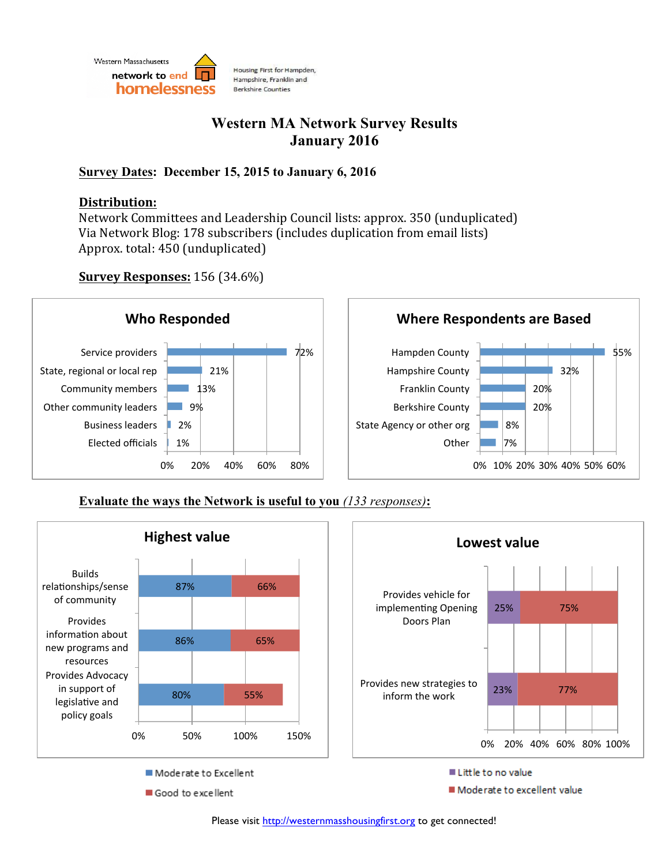

# **Western MA Network Survey Results January 2016**

## **Survey Dates: December 15, 2015 to January 6, 2016**

## **Distribution:**

Network Committees and Leadership Council lists: approx. 350 (unduplicated) Via Network Blog: 178 subscribers (includes duplication from email lists) Approx. total: 450 (unduplicated)

**Survey Responses:** 156 (34.6%)





## **Evaluate the ways the Network is useful to you** *(133 responses)***:**